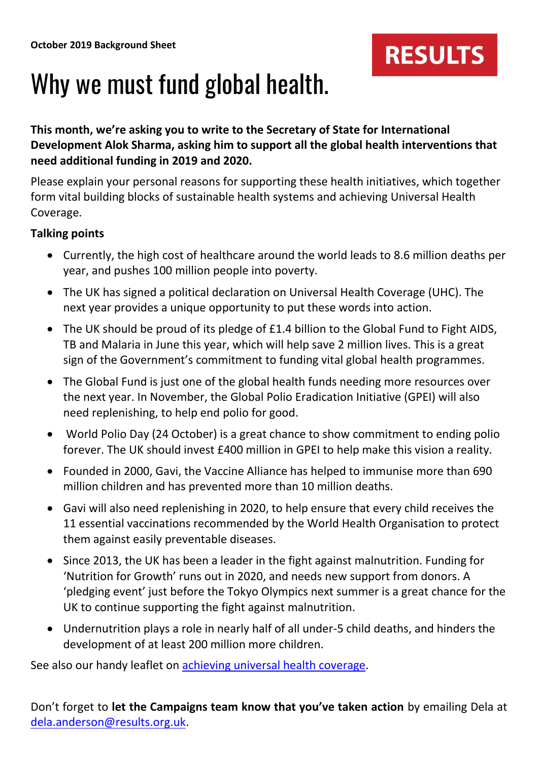

## Why we must fund global health.

**This month, we're asking you to write to the Secretary of State for International Development Alok Sharma, asking him to support all the global health interventions that need additional funding in 2019 and 2020.**

Please explain your personal reasons for supporting these health initiatives, which together form vital building blocks of sustainable health systems and achieving Universal Health Coverage.

## **Talking points**

- Currently, the high cost of healthcare around the world leads to 8.6 million deaths per year, and pushes 100 million people into poverty.
- The UK has signed a political declaration on Universal Health Coverage (UHC). The next year provides a unique opportunity to put these words into action.
- The UK should be proud of its pledge of £1.4 billion to the Global Fund to Fight AIDS, TB and Malaria in June this year, which will help save 2 million lives. This is a great sign of the Government's commitment to funding vital global health programmes.
- The Global Fund is just one of the global health funds needing more resources over the next year. In November, the Global Polio Eradication Initiative (GPEI) will also need replenishing, to help end polio for good.
- World Polio Day (24 October) is a great chance to show commitment to ending polio forever. The UK should invest £400 million in GPEI to help make this vision a reality.
- Founded in 2000, Gavi, the Vaccine Alliance has helped to immunise more than 690 million children and has prevented more than 10 million deaths.
- Gavi will also need replenishing in 2020, to help ensure that every child receives the 11 essential vaccinations recommended by the World Health Organisation to protect them against easily preventable diseases.
- Since 2013, the UK has been a leader in the fight against malnutrition. Funding for 'Nutrition for Growth' runs out in 2020, and needs new support from donors. A 'pledging event' just before the Tokyo Olympics next summer is a great chance for the UK to continue supporting the fight against malnutrition.
- Undernutrition plays a role in nearly half of all under-5 child deaths, and hinders the development of at least 200 million more children.

See also our handy leaflet on **achieving universal health coverage**.

Don't forget to **let the Campaigns team know that you've taken action** by emailing Dela at [dela.anderson@results.org.uk.](mailto:dela.anderson@results.org.uk)